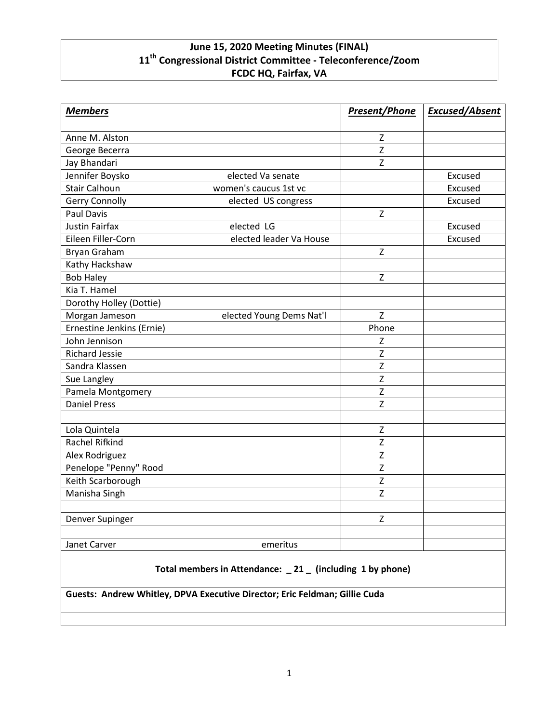## **June 15, 2020 Meeting Minutes (FINAL) 11th Congressional District Committee - Teleconference/Zoom FCDC HQ, Fairfax, VA**

| <b>Members</b>                   |                          | <b>Present/Phone</b> | <b>Excused/Absent</b> |
|----------------------------------|--------------------------|----------------------|-----------------------|
| Anne M. Alston                   |                          | Z                    |                       |
| George Becerra                   |                          | Z                    |                       |
| Jay Bhandari                     |                          | Z                    |                       |
| Jennifer Boysko                  | elected Va senate        |                      | Excused               |
| <b>Stair Calhoun</b>             | women's caucus 1st vc    |                      | Excused               |
| Gerry Connolly                   |                          |                      | Excused               |
| <b>Paul Davis</b>                | elected US congress      | $\mathsf{Z}$         |                       |
| <b>Justin Fairfax</b>            | elected LG               |                      | Excused               |
| Eileen Filler-Corn               | elected leader Va House  |                      | Excused               |
| Bryan Graham                     |                          | Z                    |                       |
|                                  |                          |                      |                       |
| Kathy Hackshaw                   |                          | Z                    |                       |
| <b>Bob Haley</b><br>Kia T. Hamel |                          |                      |                       |
|                                  |                          |                      |                       |
| Dorothy Holley (Dottie)          |                          | Z                    |                       |
| Morgan Jameson                   | elected Young Dems Nat'l |                      |                       |
| Ernestine Jenkins (Ernie)        |                          | Phone                |                       |
| John Jennison                    |                          | z                    |                       |
| <b>Richard Jessie</b>            |                          | Z                    |                       |
| Sandra Klassen                   |                          | $\overline{z}$       |                       |
| Sue Langley                      |                          | Z                    |                       |
| Pamela Montgomery                |                          | Z                    |                       |
| <b>Daniel Press</b>              |                          | Z                    |                       |
|                                  |                          | $\mathsf Z$          |                       |
| Lola Quintela<br>Rachel Rifkind  |                          | Z                    |                       |
|                                  |                          | Z                    |                       |
| Alex Rodriguez                   |                          | Z                    |                       |
| Penelope "Penny" Rood            |                          |                      |                       |
| Keith Scarborough                |                          | Z                    |                       |
| Manisha Singh                    |                          | Z                    |                       |
| Denver Supinger                  |                          | Z                    |                       |
| Janet Carver                     | emeritus                 |                      |                       |
|                                  |                          |                      |                       |

**Total members in Attendance: \_ 21 \_ (including 1 by phone)**

**Guests: Andrew Whitley, DPVA Executive Director; Eric Feldman; Gillie Cuda**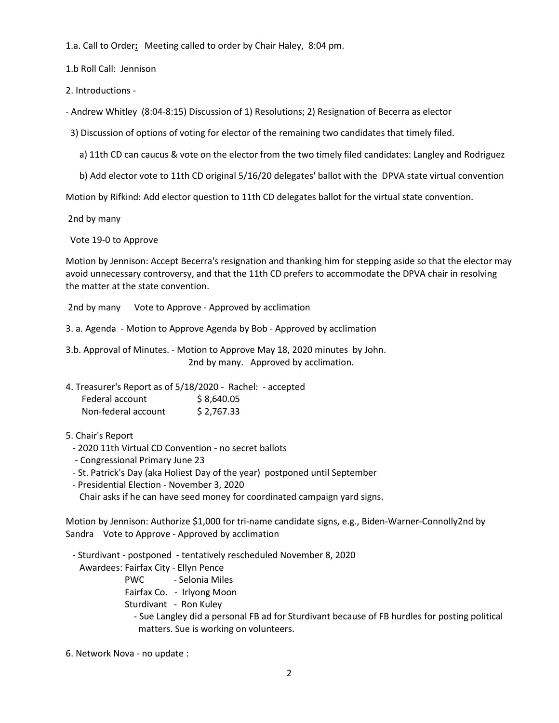1.a. Call to Order**:** Meeting called to order by Chair Haley, 8:04 pm.

1.b Roll Call: Jennison

2. Introductions -

- Andrew Whitley (8:04-8:15) Discussion of 1) Resolutions; 2) Resignation of Becerra as elector

3) Discussion of options of voting for elector of the remaining two candidates that timely filed.

a) 11th CD can caucus & vote on the elector from the two timely filed candidates: Langley and Rodriguez

b) Add elector vote to 11th CD original 5/16/20 delegates' ballot with the DPVA state virtual convention

Motion by Rifkind: Add elector question to 11th CD delegates ballot for the virtual state convention.

2nd by many

Vote 19-0 to Approve

Motion by Jennison: Accept Becerra's resignation and thanking him for stepping aside so that the elector may avoid unnecessary controversy, and that the 11th CD prefers to accommodate the DPVA chair in resolving the matter at the state convention.

2nd by many Vote to Approve - Approved by acclimation

3. a. Agenda - Motion to Approve Agenda by Bob - Approved by acclimation

3.b. Approval of Minutes. - Motion to Approve May 18, 2020 minutes by John. 2nd by many. Approved by acclimation.

|                     | 4. Treasurer's Report as of 5/18/2020 - Rachel: - accepted |
|---------------------|------------------------------------------------------------|
| Federal account     | \$8,640.05                                                 |
| Non-federal account | \$2,767.33                                                 |

## 5. Chair's Report

- 2020 11th Virtual CD Convention no secret ballots
- Congressional Primary June 23
- St. Patrick's Day (aka Holiest Day of the year) postponed until September
- Presidential Election November 3, 2020 Chair asks if he can have seed money for coordinated campaign yard signs.

Motion by Jennison: Authorize \$1,000 for tri-name candidate signs, e.g., Biden-Warner-Connolly2nd by Sandra Vote to Approve - Approved by acclimation

- Sturdivant - postponed - tentatively rescheduled November 8, 2020 Awardees: Fairfax City - Ellyn Pence PWC - Selonia Miles Fairfax Co. - Irlyong Moon Sturdivant - Ron Kuley - Sue Langley did a personal FB ad for Sturdivant because of FB hurdles for posting political matters. Sue is working on volunteers.

6. Network Nova - no update :